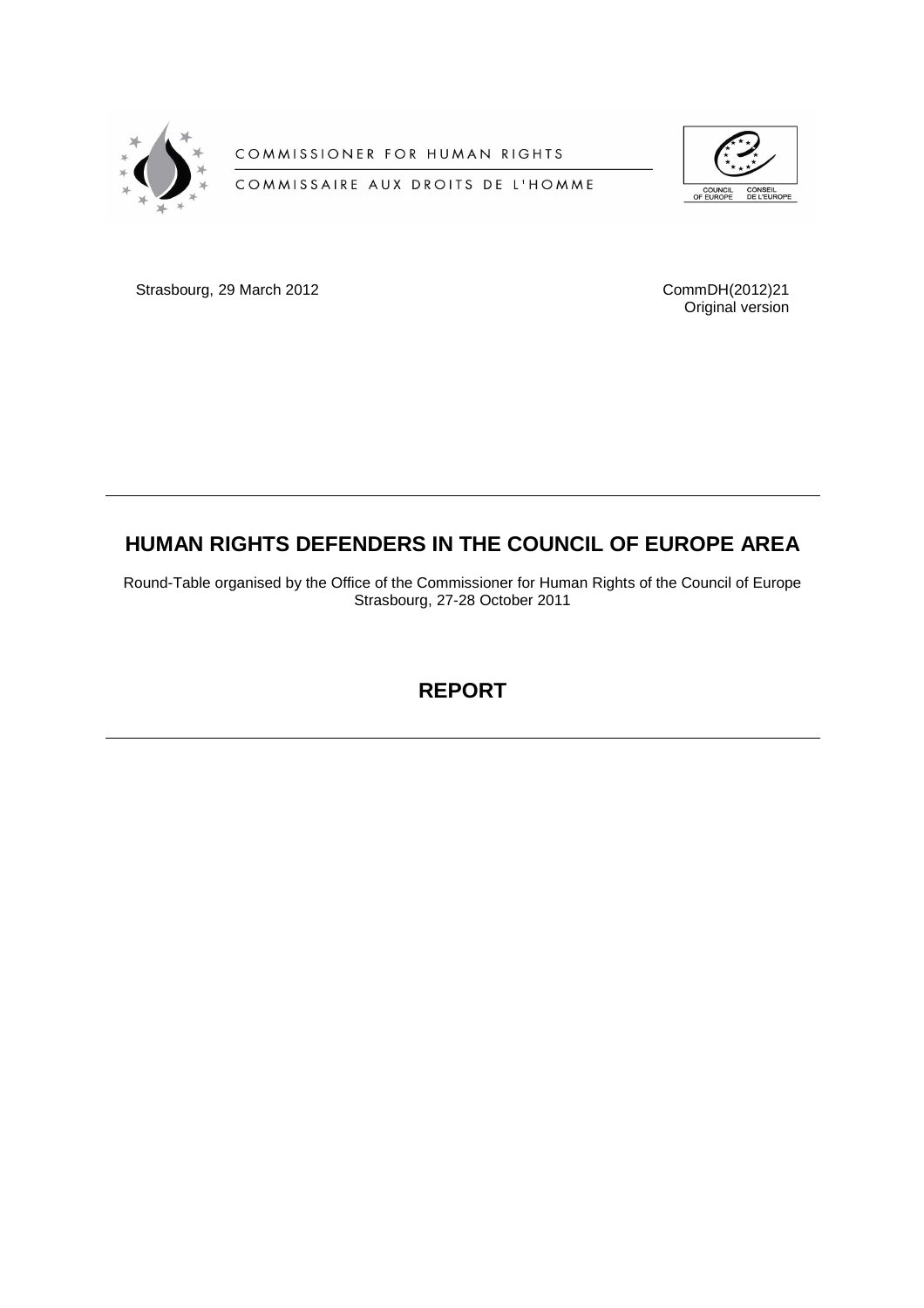

COMMISSIONER FOR HUMAN RIGHTS

COMMISSAIRE AUX DROITS DE L'HOMME



Strasbourg, 29 March 2012 CommDH(2012)21

Original version

# **HUMAN RIGHTS DEFENDERS IN THE COUNCIL OF EUROPE AREA**

Round-Table organised by the Office of the Commissioner for Human Rights of the Council of Europe Strasbourg, 27-28 October 2011

**REPORT**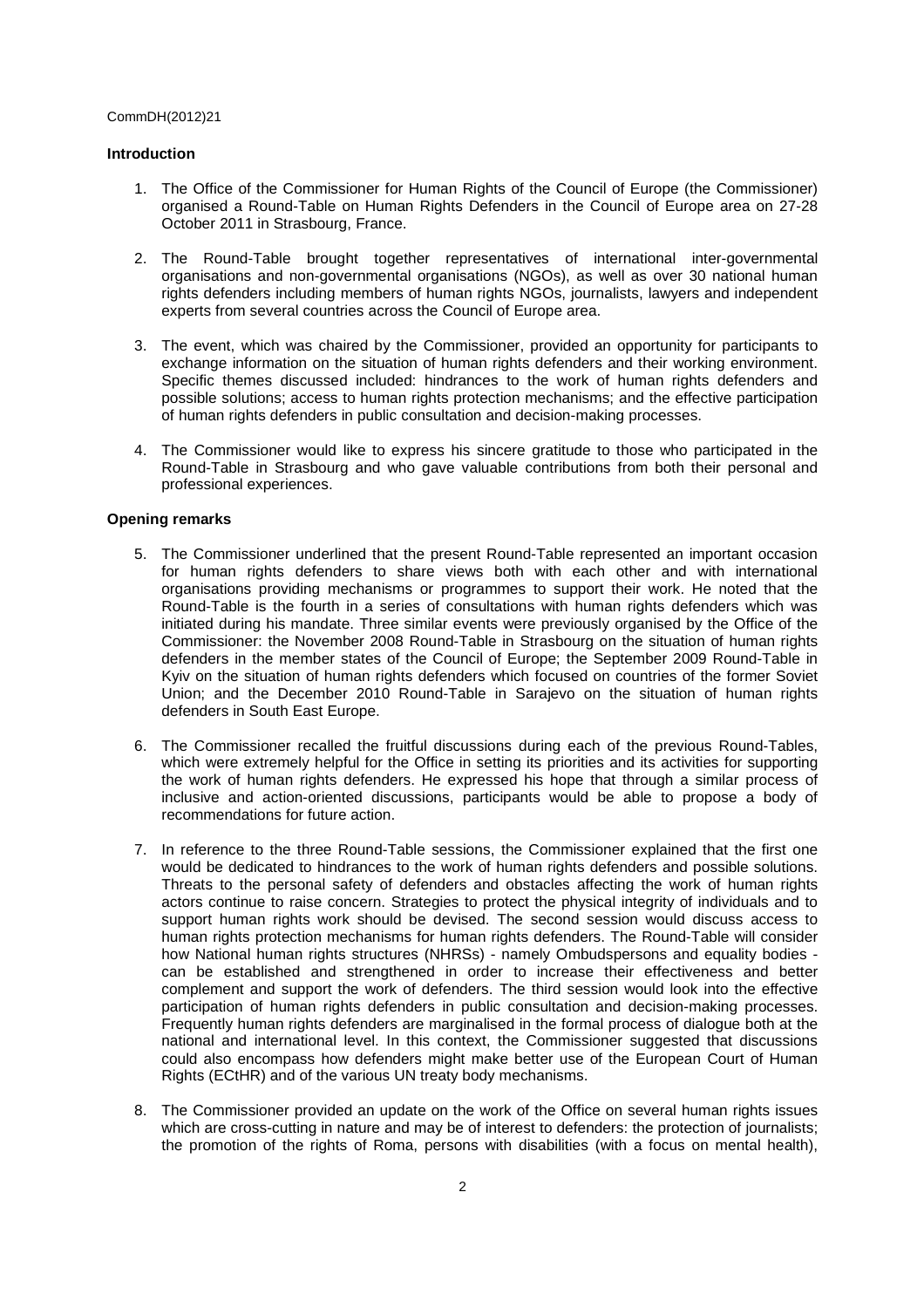# **Introduction**

- 1. The Office of the Commissioner for Human Rights of the Council of Europe (the Commissioner) organised a Round-Table on Human Rights Defenders in the Council of Europe area on 27-28 October 2011 in Strasbourg, France.
- 2. The Round-Table brought together representatives of international inter-governmental organisations and non-governmental organisations (NGOs), as well as over 30 national human rights defenders including members of human rights NGOs, journalists, lawyers and independent experts from several countries across the Council of Europe area.
- 3. The event, which was chaired by the Commissioner, provided an opportunity for participants to exchange information on the situation of human rights defenders and their working environment. Specific themes discussed included: hindrances to the work of human rights defenders and possible solutions; access to human rights protection mechanisms; and the effective participation of human rights defenders in public consultation and decision-making processes.
- 4. The Commissioner would like to express his sincere gratitude to those who participated in the Round-Table in Strasbourg and who gave valuable contributions from both their personal and professional experiences.

# **Opening remarks**

- 5. The Commissioner underlined that the present Round-Table represented an important occasion for human rights defenders to share views both with each other and with international organisations providing mechanisms or programmes to support their work. He noted that the Round-Table is the fourth in a series of consultations with human rights defenders which was initiated during his mandate. Three similar events were previously organised by the Office of the Commissioner: the November 2008 Round-Table in Strasbourg on the situation of human rights defenders in the member states of the Council of Europe; the September 2009 Round-Table in Kyiv on the situation of human rights defenders which focused on countries of the former Soviet Union; and the December 2010 Round-Table in Sarajevo on the situation of human rights defenders in South East Europe.
- 6. The Commissioner recalled the fruitful discussions during each of the previous Round-Tables, which were extremely helpful for the Office in setting its priorities and its activities for supporting the work of human rights defenders. He expressed his hope that through a similar process of inclusive and action-oriented discussions, participants would be able to propose a body of recommendations for future action.
- 7. In reference to the three Round-Table sessions, the Commissioner explained that the first one would be dedicated to hindrances to the work of human rights defenders and possible solutions. Threats to the personal safety of defenders and obstacles affecting the work of human rights actors continue to raise concern. Strategies to protect the physical integrity of individuals and to support human rights work should be devised. The second session would discuss access to human rights protection mechanisms for human rights defenders. The Round-Table will consider how National human rights structures (NHRSs) - namely Ombudspersons and equality bodies can be established and strengthened in order to increase their effectiveness and better complement and support the work of defenders. The third session would look into the effective participation of human rights defenders in public consultation and decision-making processes. Frequently human rights defenders are marginalised in the formal process of dialogue both at the national and international level. In this context, the Commissioner suggested that discussions could also encompass how defenders might make better use of the European Court of Human Rights (ECtHR) and of the various UN treaty body mechanisms.
- 8. The Commissioner provided an update on the work of the Office on several human rights issues which are cross-cutting in nature and may be of interest to defenders: the protection of journalists; the promotion of the rights of Roma, persons with disabilities (with a focus on mental health),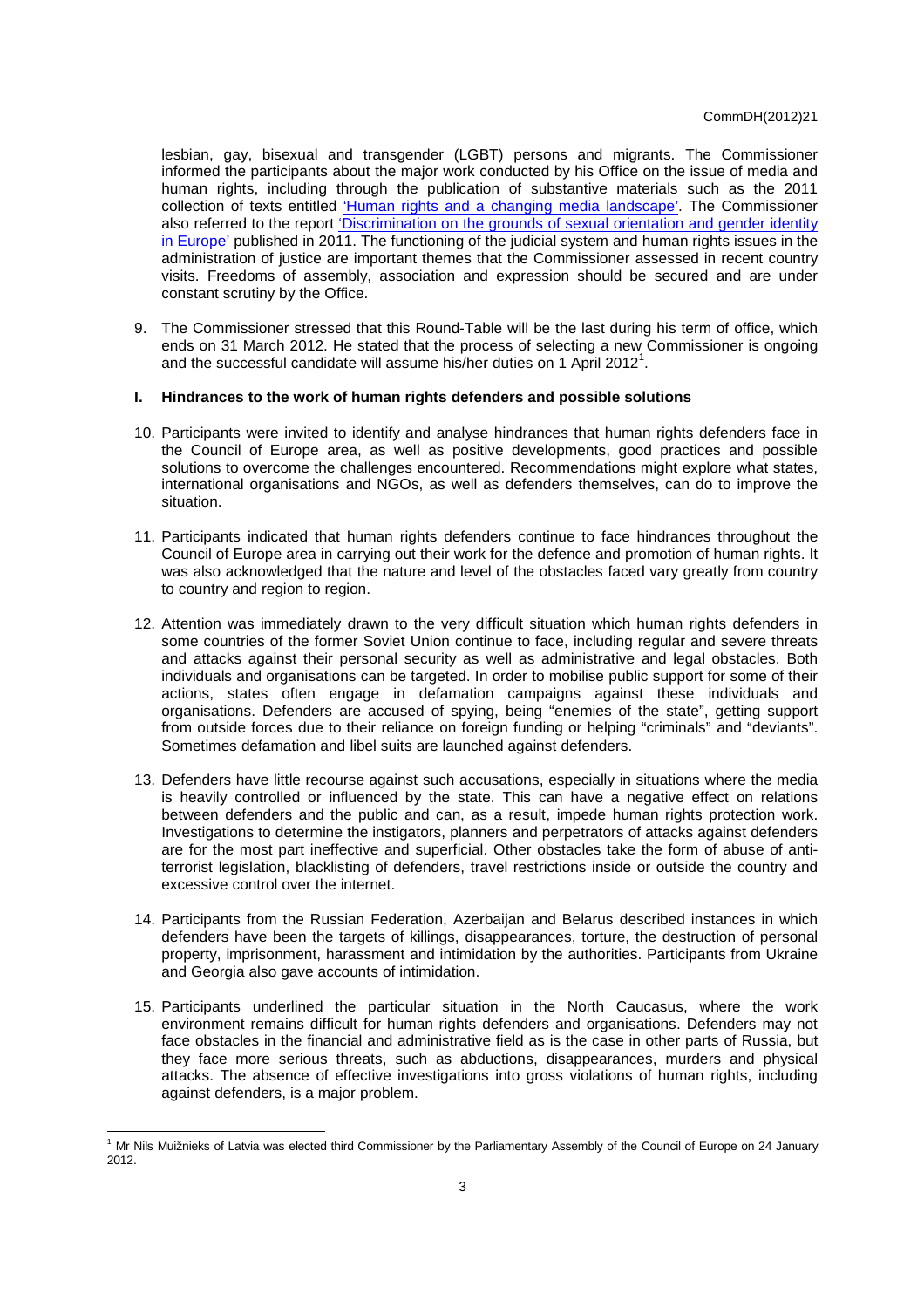lesbian, gay, bisexual and transgender (LGBT) persons and migrants. The Commissioner informed the participants about the major work conducted by his Office on the issue of media and human rights, including through the publication of substantive materials such as the 2011 collection of texts entitled 'Human rights and a changing media landscape'. The Commissioner also referred to the report 'Discrimination on the grounds of sexual orientation and gender identity in Europe' published in 2011. The functioning of the judicial system and human rights issues in the administration of justice are important themes that the Commissioner assessed in recent country visits. Freedoms of assembly, association and expression should be secured and are under constant scrutiny by the Office.

9. The Commissioner stressed that this Round-Table will be the last during his term of office, which ends on 31 March 2012. He stated that the process of selecting a new Commissioner is ongoing and the successful candidate will assume his/her duties on 1 April 2012<sup>1</sup>.

# **I. Hindrances to the work of human rights defenders and possible solutions**

- 10. Participants were invited to identify and analyse hindrances that human rights defenders face in the Council of Europe area, as well as positive developments, good practices and possible solutions to overcome the challenges encountered. Recommendations might explore what states, international organisations and NGOs, as well as defenders themselves, can do to improve the situation.
- 11. Participants indicated that human rights defenders continue to face hindrances throughout the Council of Europe area in carrying out their work for the defence and promotion of human rights. It was also acknowledged that the nature and level of the obstacles faced vary greatly from country to country and region to region.
- 12. Attention was immediately drawn to the very difficult situation which human rights defenders in some countries of the former Soviet Union continue to face, including regular and severe threats and attacks against their personal security as well as administrative and legal obstacles. Both individuals and organisations can be targeted. In order to mobilise public support for some of their actions, states often engage in defamation campaigns against these individuals and organisations. Defenders are accused of spying, being "enemies of the state", getting support from outside forces due to their reliance on foreign funding or helping "criminals" and "deviants". Sometimes defamation and libel suits are launched against defenders.
- 13. Defenders have little recourse against such accusations, especially in situations where the media is heavily controlled or influenced by the state. This can have a negative effect on relations between defenders and the public and can, as a result, impede human rights protection work. Investigations to determine the instigators, planners and perpetrators of attacks against defenders are for the most part ineffective and superficial. Other obstacles take the form of abuse of antiterrorist legislation, blacklisting of defenders, travel restrictions inside or outside the country and excessive control over the internet.
- 14. Participants from the Russian Federation, Azerbaijan and Belarus described instances in which defenders have been the targets of killings, disappearances, torture, the destruction of personal property, imprisonment, harassment and intimidation by the authorities. Participants from Ukraine and Georgia also gave accounts of intimidation.
- 15. Participants underlined the particular situation in the North Caucasus, where the work environment remains difficult for human rights defenders and organisations. Defenders may not face obstacles in the financial and administrative field as is the case in other parts of Russia, but they face more serious threats, such as abductions, disappearances, murders and physical attacks. The absence of effective investigations into gross violations of human rights, including against defenders, is a major problem.

 <sup>1</sup> Mr Nils Muižnieks of Latvia was elected third Commissioner by the Parliamentary Assembly of the Council of Europe on 24 January 2012.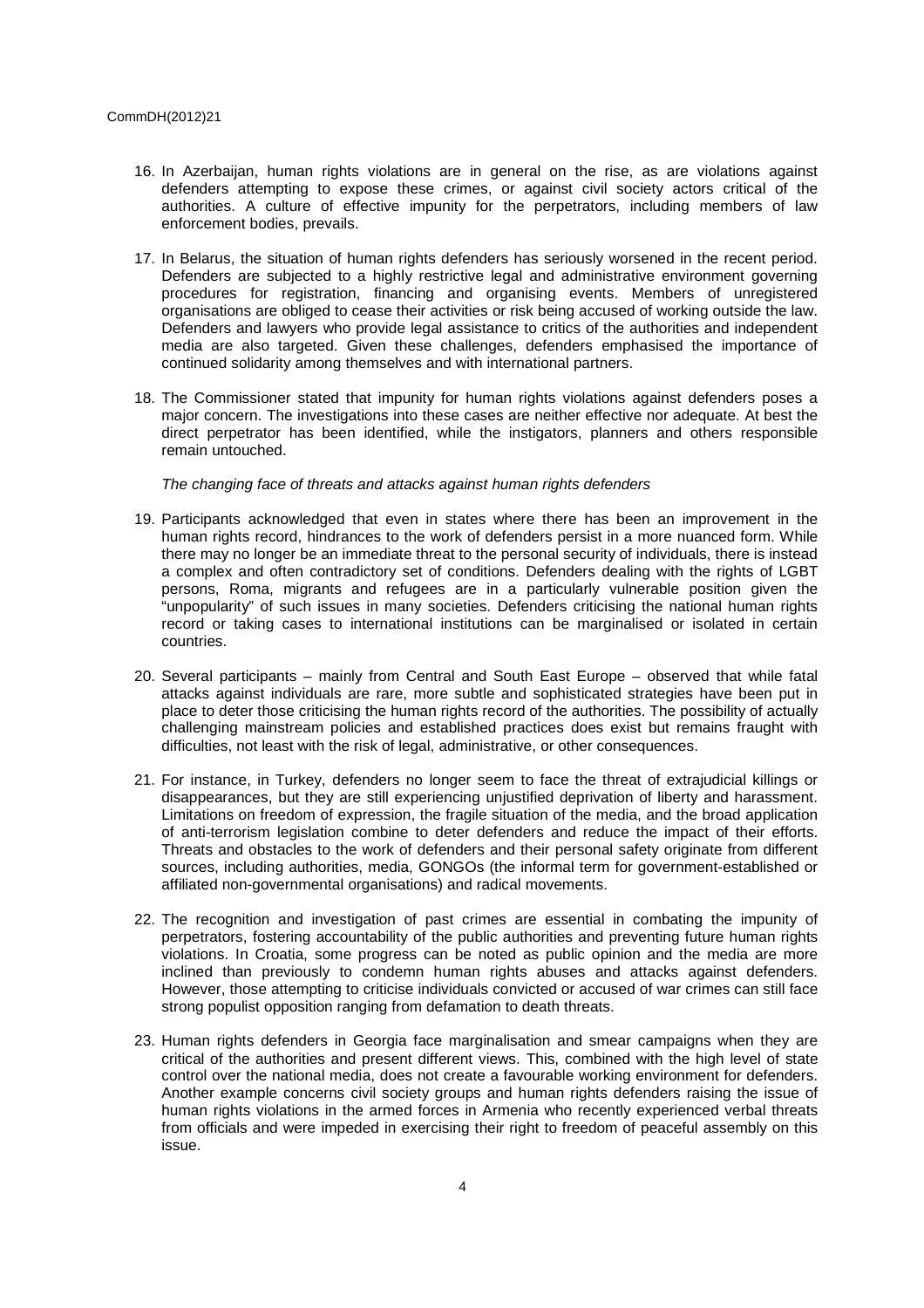- 16. In Azerbaijan, human rights violations are in general on the rise, as are violations against defenders attempting to expose these crimes, or against civil society actors critical of the authorities. A culture of effective impunity for the perpetrators, including members of law enforcement bodies, prevails.
- 17. In Belarus, the situation of human rights defenders has seriously worsened in the recent period. Defenders are subjected to a highly restrictive legal and administrative environment governing procedures for registration, financing and organising events. Members of unregistered organisations are obliged to cease their activities or risk being accused of working outside the law. Defenders and lawyers who provide legal assistance to critics of the authorities and independent media are also targeted. Given these challenges, defenders emphasised the importance of continued solidarity among themselves and with international partners.
- 18. The Commissioner stated that impunity for human rights violations against defenders poses a major concern. The investigations into these cases are neither effective nor adequate. At best the direct perpetrator has been identified, while the instigators, planners and others responsible remain untouched.

## The changing face of threats and attacks against human rights defenders

- 19. Participants acknowledged that even in states where there has been an improvement in the human rights record, hindrances to the work of defenders persist in a more nuanced form. While there may no longer be an immediate threat to the personal security of individuals, there is instead a complex and often contradictory set of conditions. Defenders dealing with the rights of LGBT persons, Roma, migrants and refugees are in a particularly vulnerable position given the "unpopularity" of such issues in many societies. Defenders criticising the national human rights record or taking cases to international institutions can be marginalised or isolated in certain countries.
- 20. Several participants mainly from Central and South East Europe observed that while fatal attacks against individuals are rare, more subtle and sophisticated strategies have been put in place to deter those criticising the human rights record of the authorities. The possibility of actually challenging mainstream policies and established practices does exist but remains fraught with difficulties, not least with the risk of legal, administrative, or other consequences.
- 21. For instance, in Turkey, defenders no longer seem to face the threat of extrajudicial killings or disappearances, but they are still experiencing unjustified deprivation of liberty and harassment. Limitations on freedom of expression, the fragile situation of the media, and the broad application of anti-terrorism legislation combine to deter defenders and reduce the impact of their efforts. Threats and obstacles to the work of defenders and their personal safety originate from different sources, including authorities, media, GONGOs (the informal term for government-established or affiliated non-governmental organisations) and radical movements.
- 22. The recognition and investigation of past crimes are essential in combating the impunity of perpetrators, fostering accountability of the public authorities and preventing future human rights violations. In Croatia, some progress can be noted as public opinion and the media are more inclined than previously to condemn human rights abuses and attacks against defenders. However, those attempting to criticise individuals convicted or accused of war crimes can still face strong populist opposition ranging from defamation to death threats.
- 23. Human rights defenders in Georgia face marginalisation and smear campaigns when they are critical of the authorities and present different views. This, combined with the high level of state control over the national media, does not create a favourable working environment for defenders. Another example concerns civil society groups and human rights defenders raising the issue of human rights violations in the armed forces in Armenia who recently experienced verbal threats from officials and were impeded in exercising their right to freedom of peaceful assembly on this issue.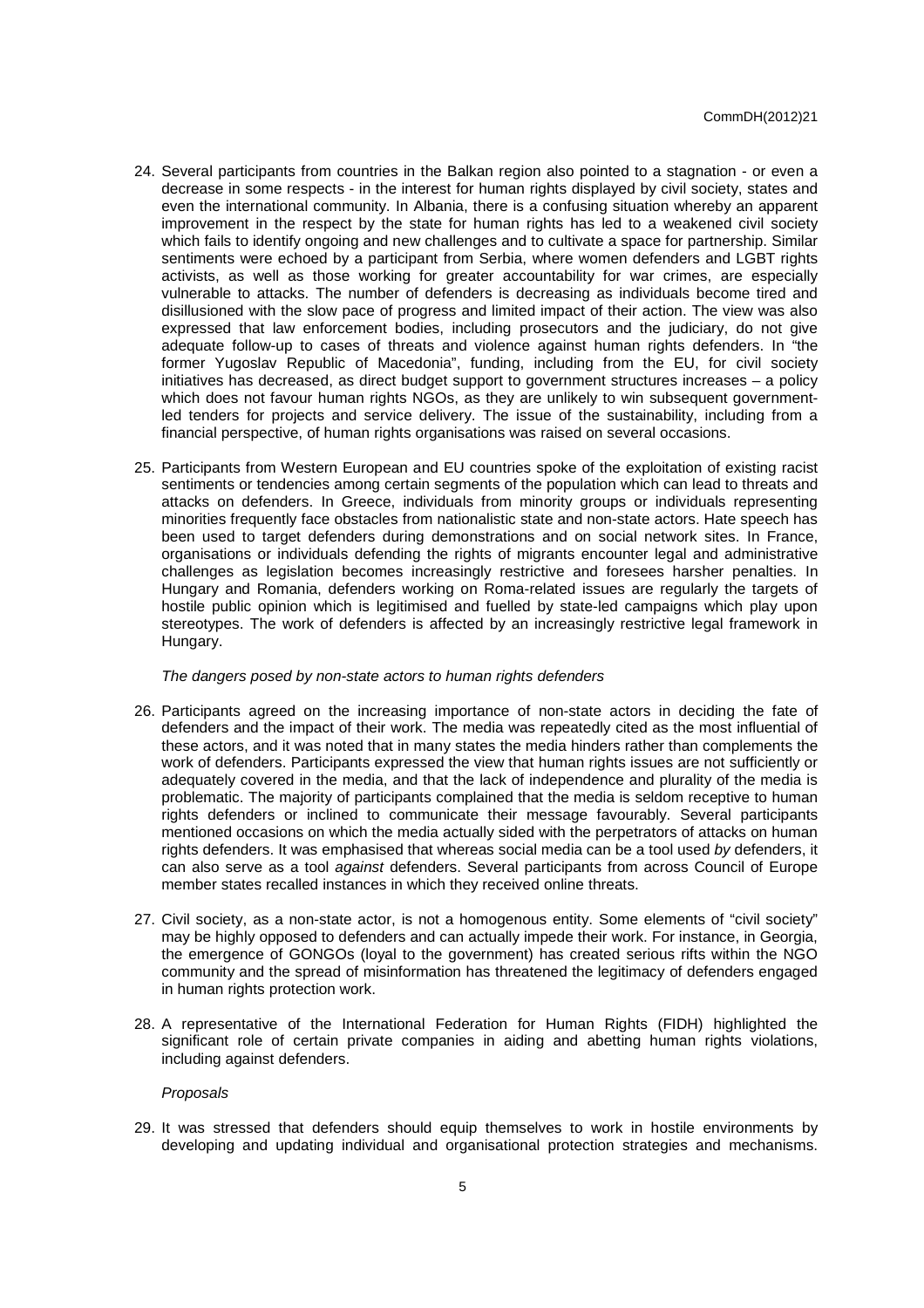- 24. Several participants from countries in the Balkan region also pointed to a stagnation or even a decrease in some respects - in the interest for human rights displayed by civil society, states and even the international community. In Albania, there is a confusing situation whereby an apparent improvement in the respect by the state for human rights has led to a weakened civil society which fails to identify ongoing and new challenges and to cultivate a space for partnership. Similar sentiments were echoed by a participant from Serbia, where women defenders and LGBT rights activists, as well as those working for greater accountability for war crimes, are especially vulnerable to attacks. The number of defenders is decreasing as individuals become tired and disillusioned with the slow pace of progress and limited impact of their action. The view was also expressed that law enforcement bodies, including prosecutors and the judiciary, do not give adequate follow-up to cases of threats and violence against human rights defenders. In "the former Yugoslav Republic of Macedonia", funding, including from the EU, for civil society initiatives has decreased, as direct budget support to government structures increases – a policy which does not favour human rights NGOs, as they are unlikely to win subsequent governmentled tenders for projects and service delivery. The issue of the sustainability, including from a financial perspective, of human rights organisations was raised on several occasions.
- 25. Participants from Western European and EU countries spoke of the exploitation of existing racist sentiments or tendencies among certain segments of the population which can lead to threats and attacks on defenders. In Greece, individuals from minority groups or individuals representing minorities frequently face obstacles from nationalistic state and non-state actors. Hate speech has been used to target defenders during demonstrations and on social network sites. In France, organisations or individuals defending the rights of migrants encounter legal and administrative challenges as legislation becomes increasingly restrictive and foresees harsher penalties. In Hungary and Romania, defenders working on Roma-related issues are regularly the targets of hostile public opinion which is legitimised and fuelled by state-led campaigns which play upon stereotypes. The work of defenders is affected by an increasingly restrictive legal framework in Hungary.

#### The dangers posed by non-state actors to human rights defenders

- 26. Participants agreed on the increasing importance of non-state actors in deciding the fate of defenders and the impact of their work. The media was repeatedly cited as the most influential of these actors, and it was noted that in many states the media hinders rather than complements the work of defenders. Participants expressed the view that human rights issues are not sufficiently or adequately covered in the media, and that the lack of independence and plurality of the media is problematic. The majority of participants complained that the media is seldom receptive to human rights defenders or inclined to communicate their message favourably. Several participants mentioned occasions on which the media actually sided with the perpetrators of attacks on human rights defenders. It was emphasised that whereas social media can be a tool used by defenders, it can also serve as a tool against defenders. Several participants from across Council of Europe member states recalled instances in which they received online threats.
- 27. Civil society, as a non-state actor, is not a homogenous entity. Some elements of "civil society" may be highly opposed to defenders and can actually impede their work. For instance, in Georgia, the emergence of GONGOs (loyal to the government) has created serious rifts within the NGO community and the spread of misinformation has threatened the legitimacy of defenders engaged in human rights protection work.
- 28. A representative of the International Federation for Human Rights (FIDH) highlighted the significant role of certain private companies in aiding and abetting human rights violations, including against defenders.

#### Proposals

29. It was stressed that defenders should equip themselves to work in hostile environments by developing and updating individual and organisational protection strategies and mechanisms.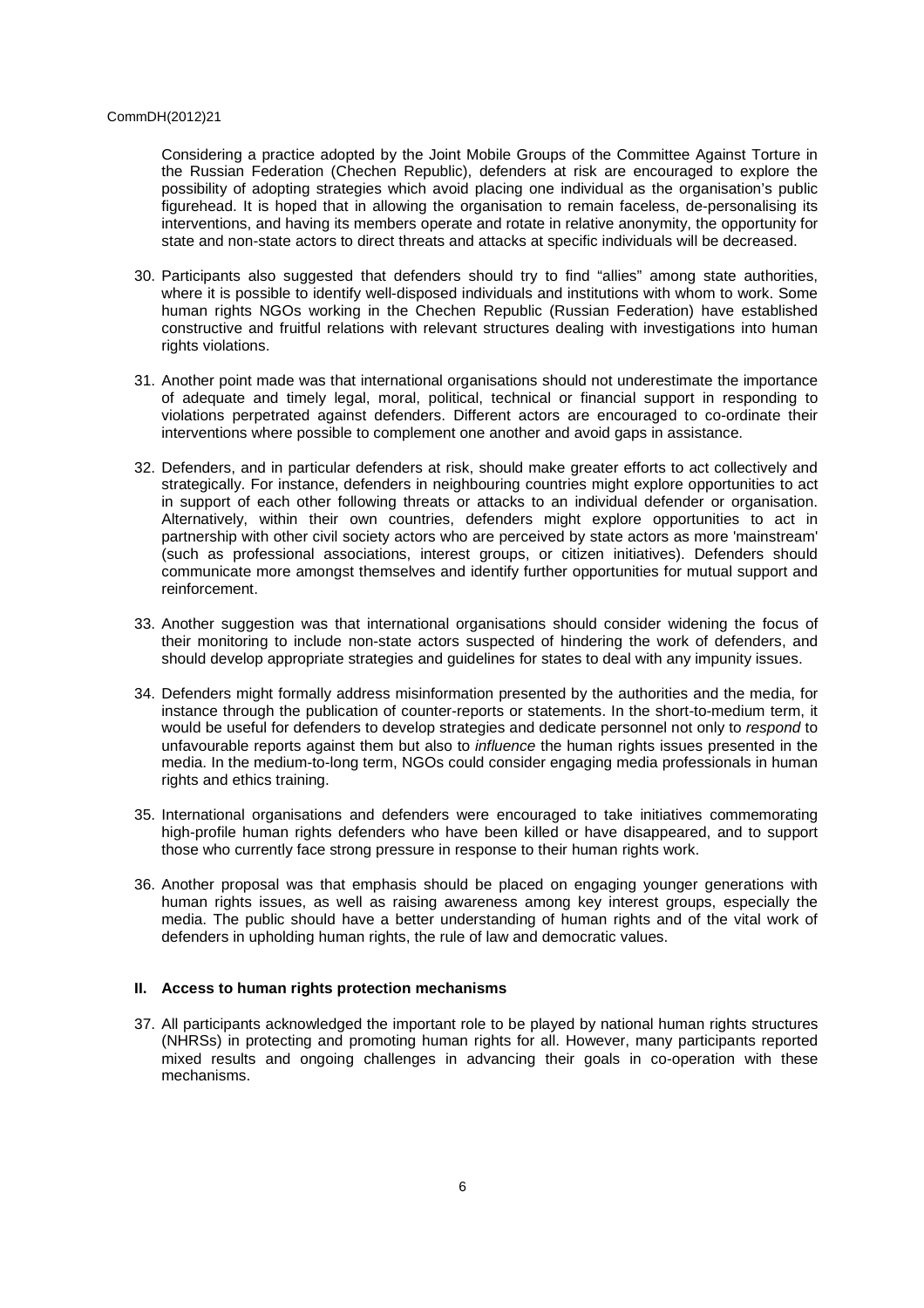Considering a practice adopted by the Joint Mobile Groups of the Committee Against Torture in the Russian Federation (Chechen Republic), defenders at risk are encouraged to explore the possibility of adopting strategies which avoid placing one individual as the organisation's public figurehead. It is hoped that in allowing the organisation to remain faceless, de-personalising its interventions, and having its members operate and rotate in relative anonymity, the opportunity for state and non-state actors to direct threats and attacks at specific individuals will be decreased.

- 30. Participants also suggested that defenders should try to find "allies" among state authorities, where it is possible to identify well-disposed individuals and institutions with whom to work. Some human rights NGOs working in the Chechen Republic (Russian Federation) have established constructive and fruitful relations with relevant structures dealing with investigations into human rights violations.
- 31. Another point made was that international organisations should not underestimate the importance of adequate and timely legal, moral, political, technical or financial support in responding to violations perpetrated against defenders. Different actors are encouraged to co-ordinate their interventions where possible to complement one another and avoid gaps in assistance.
- 32. Defenders, and in particular defenders at risk, should make greater efforts to act collectively and strategically. For instance, defenders in neighbouring countries might explore opportunities to act in support of each other following threats or attacks to an individual defender or organisation. Alternatively, within their own countries, defenders might explore opportunities to act in partnership with other civil society actors who are perceived by state actors as more 'mainstream' (such as professional associations, interest groups, or citizen initiatives). Defenders should communicate more amongst themselves and identify further opportunities for mutual support and reinforcement.
- 33. Another suggestion was that international organisations should consider widening the focus of their monitoring to include non-state actors suspected of hindering the work of defenders, and should develop appropriate strategies and guidelines for states to deal with any impunity issues.
- 34. Defenders might formally address misinformation presented by the authorities and the media, for instance through the publication of counter-reports or statements. In the short-to-medium term, it would be useful for defenders to develop strategies and dedicate personnel not only to respond to unfavourable reports against them but also to influence the human rights issues presented in the media. In the medium-to-long term, NGOs could consider engaging media professionals in human rights and ethics training.
- 35. International organisations and defenders were encouraged to take initiatives commemorating high-profile human rights defenders who have been killed or have disappeared, and to support those who currently face strong pressure in response to their human rights work.
- 36. Another proposal was that emphasis should be placed on engaging younger generations with human rights issues, as well as raising awareness among key interest groups, especially the media. The public should have a better understanding of human rights and of the vital work of defenders in upholding human rights, the rule of law and democratic values.

## **II. Access to human rights protection mechanisms**

37. All participants acknowledged the important role to be played by national human rights structures (NHRSs) in protecting and promoting human rights for all. However, many participants reported mixed results and ongoing challenges in advancing their goals in co-operation with these mechanisms.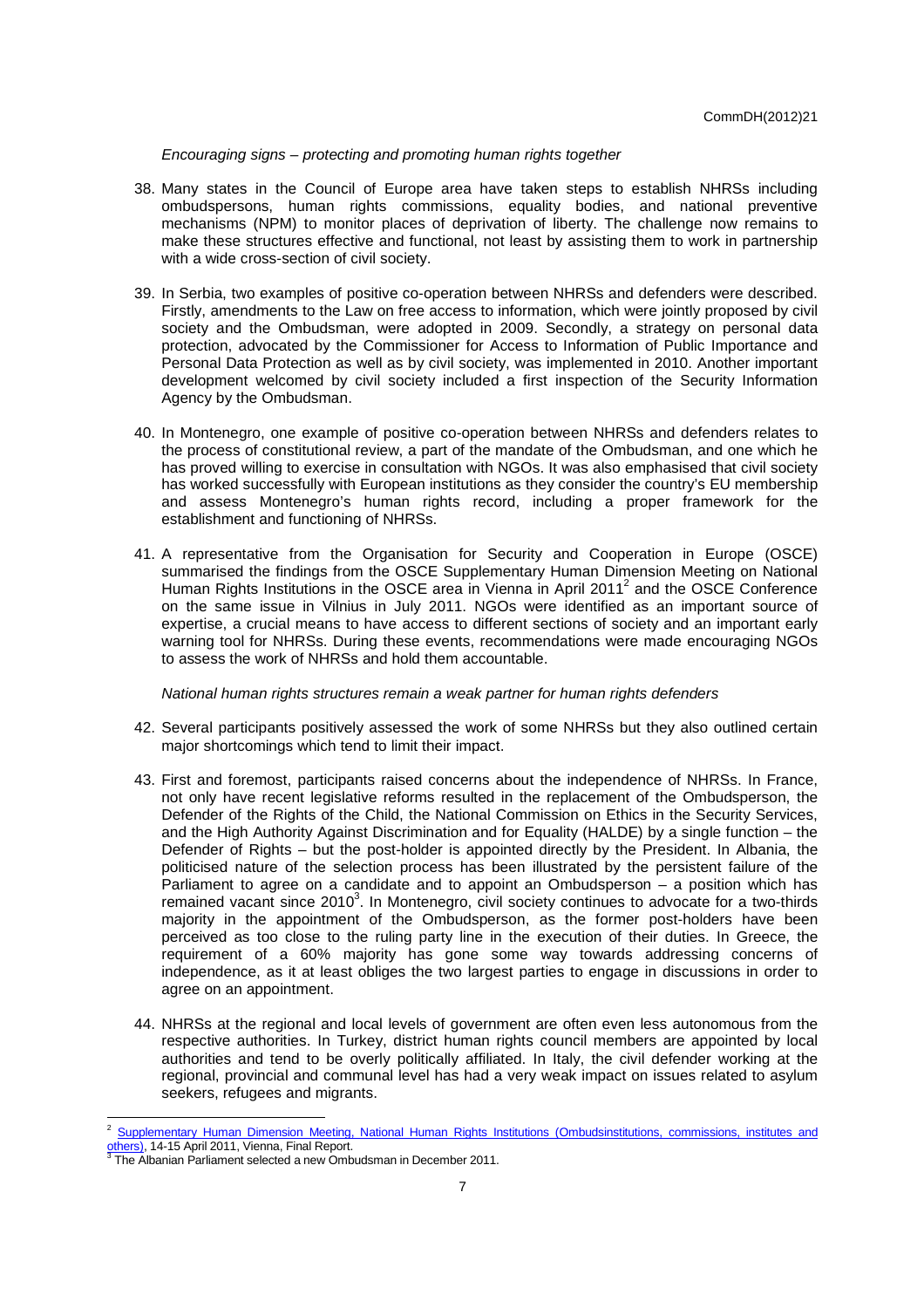# Encouraging signs – protecting and promoting human rights together

- 38. Many states in the Council of Europe area have taken steps to establish NHRSs including ombudspersons, human rights commissions, equality bodies, and national preventive mechanisms (NPM) to monitor places of deprivation of liberty. The challenge now remains to make these structures effective and functional, not least by assisting them to work in partnership with a wide cross-section of civil society.
- 39. In Serbia, two examples of positive co-operation between NHRSs and defenders were described. Firstly, amendments to the Law on free access to information, which were jointly proposed by civil society and the Ombudsman, were adopted in 2009. Secondly, a strategy on personal data protection, advocated by the Commissioner for Access to Information of Public Importance and Personal Data Protection as well as by civil society, was implemented in 2010. Another important development welcomed by civil society included a first inspection of the Security Information Agency by the Ombudsman.
- 40. In Montenegro, one example of positive co-operation between NHRSs and defenders relates to the process of constitutional review, a part of the mandate of the Ombudsman, and one which he has proved willing to exercise in consultation with NGOs. It was also emphasised that civil society has worked successfully with European institutions as they consider the country's EU membership and assess Montenegro's human rights record, including a proper framework for the establishment and functioning of NHRSs.
- 41. A representative from the Organisation for Security and Cooperation in Europe (OSCE) summarised the findings from the OSCE Supplementary Human Dimension Meeting on National Human Rights Institutions in the OSCE area in Vienna in April 2011<sup>2</sup> and the OSCE Conference on the same issue in Vilnius in July 2011. NGOs were identified as an important source of expertise, a crucial means to have access to different sections of society and an important early warning tool for NHRSs. During these events, recommendations were made encouraging NGOs to assess the work of NHRSs and hold them accountable.

National human rights structures remain a weak partner for human rights defenders

- 42. Several participants positively assessed the work of some NHRSs but they also outlined certain major shortcomings which tend to limit their impact.
- 43. First and foremost, participants raised concerns about the independence of NHRSs. In France, not only have recent legislative reforms resulted in the replacement of the Ombudsperson, the Defender of the Rights of the Child, the National Commission on Ethics in the Security Services, and the High Authority Against Discrimination and for Equality (HALDE) by a single function – the Defender of Rights – but the post-holder is appointed directly by the President. In Albania, the politicised nature of the selection process has been illustrated by the persistent failure of the Parliament to agree on a candidate and to appoint an Ombudsperson – a position which has remained vacant since 2010<sup>3</sup>. In Montenegro, civil society continues to advocate for a two-thirds majority in the appointment of the Ombudsperson, as the former post-holders have been perceived as too close to the ruling party line in the execution of their duties. In Greece, the requirement of a 60% majority has gone some way towards addressing concerns of independence, as it at least obliges the two largest parties to engage in discussions in order to agree on an appointment.
- 44. NHRSs at the regional and local levels of government are often even less autonomous from the respective authorities. In Turkey, district human rights council members are appointed by local authorities and tend to be overly politically affiliated. In Italy, the civil defender working at the regional, provincial and communal level has had a very weak impact on issues related to asylum seekers, refugees and migrants.

 <sup>2</sup> Supplementary Human Dimension Meeting, National Human Rights Institutions (Ombudsinstitutions, commissions, institutes and others), 14-15 April 2011, Vienna, Final Report.

<sup>3</sup> The Albanian Parliament selected a new Ombudsman in December 2011.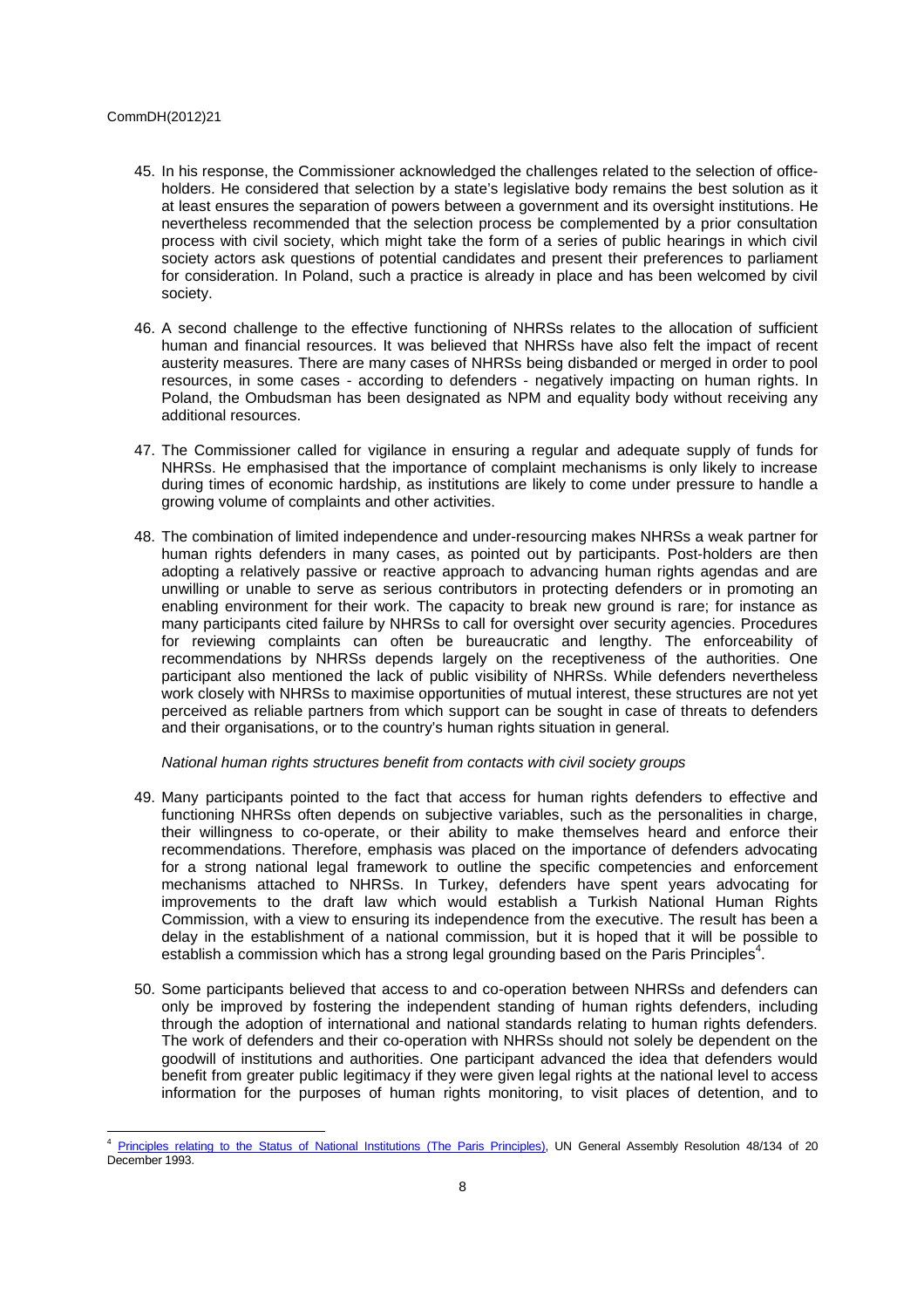- 45. In his response, the Commissioner acknowledged the challenges related to the selection of officeholders. He considered that selection by a state's legislative body remains the best solution as it at least ensures the separation of powers between a government and its oversight institutions. He nevertheless recommended that the selection process be complemented by a prior consultation process with civil society, which might take the form of a series of public hearings in which civil society actors ask questions of potential candidates and present their preferences to parliament for consideration. In Poland, such a practice is already in place and has been welcomed by civil society.
- 46. A second challenge to the effective functioning of NHRSs relates to the allocation of sufficient human and financial resources. It was believed that NHRSs have also felt the impact of recent austerity measures. There are many cases of NHRSs being disbanded or merged in order to pool resources, in some cases - according to defenders - negatively impacting on human rights. In Poland, the Ombudsman has been designated as NPM and equality body without receiving any additional resources.
- 47. The Commissioner called for vigilance in ensuring a regular and adequate supply of funds for NHRSs. He emphasised that the importance of complaint mechanisms is only likely to increase during times of economic hardship, as institutions are likely to come under pressure to handle a growing volume of complaints and other activities.
- 48. The combination of limited independence and under-resourcing makes NHRSs a weak partner for human rights defenders in many cases, as pointed out by participants. Post-holders are then adopting a relatively passive or reactive approach to advancing human rights agendas and are unwilling or unable to serve as serious contributors in protecting defenders or in promoting an enabling environment for their work. The capacity to break new ground is rare; for instance as many participants cited failure by NHRSs to call for oversight over security agencies. Procedures for reviewing complaints can often be bureaucratic and lengthy. The enforceability of recommendations by NHRSs depends largely on the receptiveness of the authorities. One participant also mentioned the lack of public visibility of NHRSs. While defenders nevertheless work closely with NHRSs to maximise opportunities of mutual interest, these structures are not yet perceived as reliable partners from which support can be sought in case of threats to defenders and their organisations, or to the country's human rights situation in general.

## National human rights structures benefit from contacts with civil society groups

- 49. Many participants pointed to the fact that access for human rights defenders to effective and functioning NHRSs often depends on subjective variables, such as the personalities in charge, their willingness to co-operate, or their ability to make themselves heard and enforce their recommendations. Therefore, emphasis was placed on the importance of defenders advocating for a strong national legal framework to outline the specific competencies and enforcement mechanisms attached to NHRSs. In Turkey, defenders have spent years advocating for improvements to the draft law which would establish a Turkish National Human Rights Commission, with a view to ensuring its independence from the executive. The result has been a delay in the establishment of a national commission, but it is hoped that it will be possible to establish a commission which has a strong legal grounding based on the Paris Principles<sup>4</sup>.
- 50. Some participants believed that access to and co-operation between NHRSs and defenders can only be improved by fostering the independent standing of human rights defenders, including through the adoption of international and national standards relating to human rights defenders. The work of defenders and their co-operation with NHRSs should not solely be dependent on the goodwill of institutions and authorities. One participant advanced the idea that defenders would benefit from greater public legitimacy if they were given legal rights at the national level to access information for the purposes of human rights monitoring, to visit places of detention, and to

Principles relating to the Status of National Institutions (The Paris Principles), UN General Assembly Resolution 48/134 of 20 December 1993.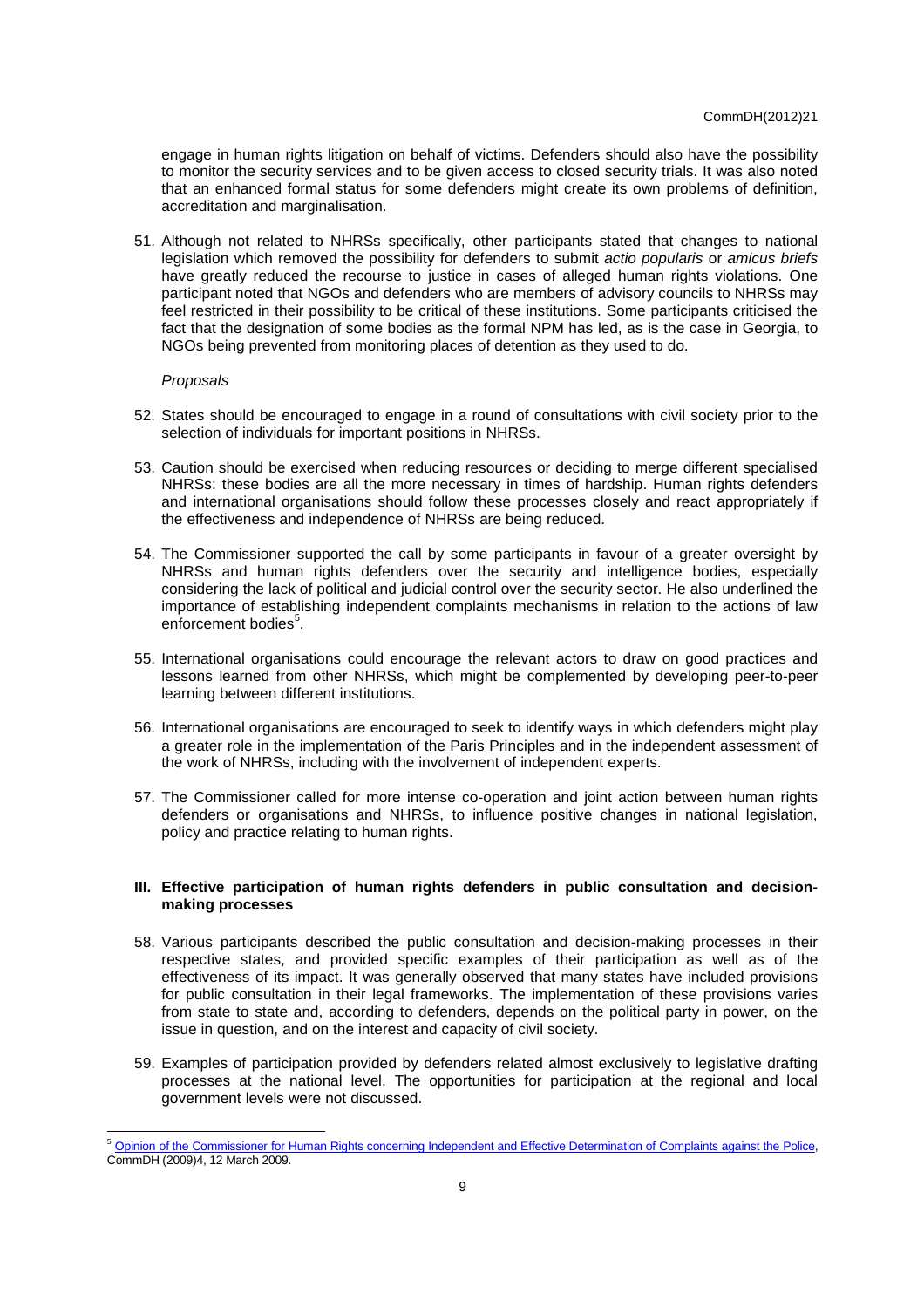engage in human rights litigation on behalf of victims. Defenders should also have the possibility to monitor the security services and to be given access to closed security trials. It was also noted that an enhanced formal status for some defenders might create its own problems of definition, accreditation and marginalisation.

51. Although not related to NHRSs specifically, other participants stated that changes to national legislation which removed the possibility for defenders to submit actio popularis or amicus briefs have greatly reduced the recourse to justice in cases of alleged human rights violations. One participant noted that NGOs and defenders who are members of advisory councils to NHRSs may feel restricted in their possibility to be critical of these institutions. Some participants criticised the fact that the designation of some bodies as the formal NPM has led, as is the case in Georgia, to NGOs being prevented from monitoring places of detention as they used to do.

## Proposals

- 52. States should be encouraged to engage in a round of consultations with civil society prior to the selection of individuals for important positions in NHRSs.
- 53. Caution should be exercised when reducing resources or deciding to merge different specialised NHRSs: these bodies are all the more necessary in times of hardship. Human rights defenders and international organisations should follow these processes closely and react appropriately if the effectiveness and independence of NHRSs are being reduced.
- 54. The Commissioner supported the call by some participants in favour of a greater oversight by NHRSs and human rights defenders over the security and intelligence bodies, especially considering the lack of political and judicial control over the security sector. He also underlined the importance of establishing independent complaints mechanisms in relation to the actions of law enforcement bodies<sup>5</sup>.
- 55. International organisations could encourage the relevant actors to draw on good practices and lessons learned from other NHRSs, which might be complemented by developing peer-to-peer learning between different institutions.
- 56. International organisations are encouraged to seek to identify ways in which defenders might play a greater role in the implementation of the Paris Principles and in the independent assessment of the work of NHRSs, including with the involvement of independent experts.
- 57. The Commissioner called for more intense co-operation and joint action between human rights defenders or organisations and NHRSs, to influence positive changes in national legislation, policy and practice relating to human rights.

## **III. Effective participation of human rights defenders in public consultation and decisionmaking processes**

- 58. Various participants described the public consultation and decision-making processes in their respective states, and provided specific examples of their participation as well as of the effectiveness of its impact. It was generally observed that many states have included provisions for public consultation in their legal frameworks. The implementation of these provisions varies from state to state and, according to defenders, depends on the political party in power, on the issue in question, and on the interest and capacity of civil society.
- 59. Examples of participation provided by defenders related almost exclusively to legislative drafting processes at the national level. The opportunities for participation at the regional and local government levels were not discussed.

<sup>&</sup>lt;sup>5</sup> Opinion of the Commissioner for Human Rights concerning Independent and Effective Determination of Complaints against the Police, CommDH (2009)4, 12 March 2009.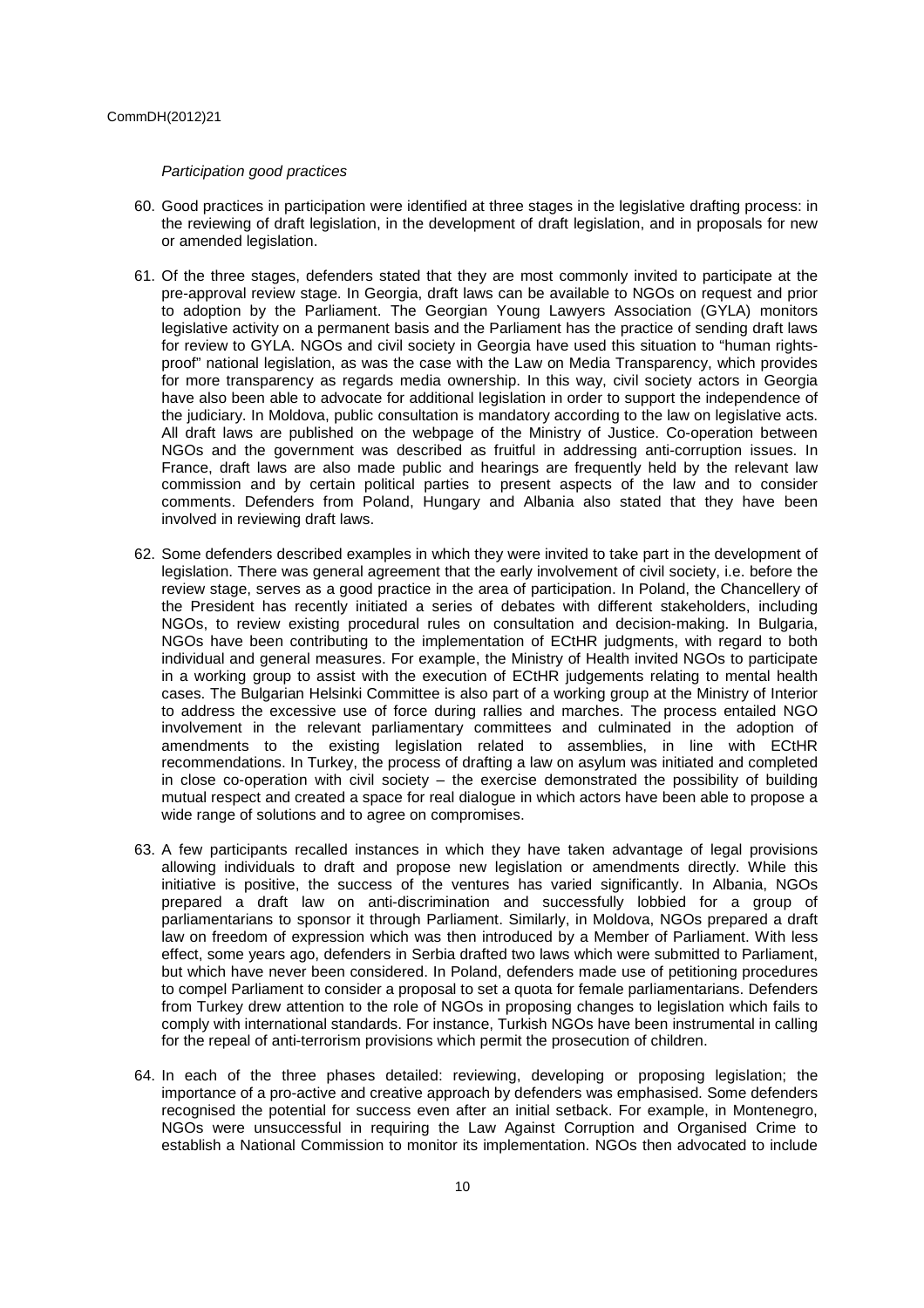Participation good practices

- 60. Good practices in participation were identified at three stages in the legislative drafting process: in the reviewing of draft legislation, in the development of draft legislation, and in proposals for new or amended legislation.
- 61. Of the three stages, defenders stated that they are most commonly invited to participate at the pre-approval review stage. In Georgia, draft laws can be available to NGOs on request and prior to adoption by the Parliament. The Georgian Young Lawyers Association (GYLA) monitors legislative activity on a permanent basis and the Parliament has the practice of sending draft laws for review to GYLA. NGOs and civil society in Georgia have used this situation to "human rightsproof" national legislation, as was the case with the Law on Media Transparency, which provides for more transparency as regards media ownership. In this way, civil society actors in Georgia have also been able to advocate for additional legislation in order to support the independence of the judiciary. In Moldova, public consultation is mandatory according to the law on legislative acts. All draft laws are published on the webpage of the Ministry of Justice. Co-operation between NGOs and the government was described as fruitful in addressing anti-corruption issues. In France, draft laws are also made public and hearings are frequently held by the relevant law commission and by certain political parties to present aspects of the law and to consider comments. Defenders from Poland, Hungary and Albania also stated that they have been involved in reviewing draft laws.
- 62. Some defenders described examples in which they were invited to take part in the development of legislation. There was general agreement that the early involvement of civil society, i.e. before the review stage, serves as a good practice in the area of participation. In Poland, the Chancellery of the President has recently initiated a series of debates with different stakeholders, including NGOs, to review existing procedural rules on consultation and decision-making. In Bulgaria, NGOs have been contributing to the implementation of ECtHR judgments, with regard to both individual and general measures. For example, the Ministry of Health invited NGOs to participate in a working group to assist with the execution of ECtHR judgements relating to mental health cases. The Bulgarian Helsinki Committee is also part of a working group at the Ministry of Interior to address the excessive use of force during rallies and marches. The process entailed NGO involvement in the relevant parliamentary committees and culminated in the adoption of amendments to the existing legislation related to assemblies, in line with ECtHR recommendations. In Turkey, the process of drafting a law on asylum was initiated and completed in close co-operation with civil society – the exercise demonstrated the possibility of building mutual respect and created a space for real dialogue in which actors have been able to propose a wide range of solutions and to agree on compromises.
- 63. A few participants recalled instances in which they have taken advantage of legal provisions allowing individuals to draft and propose new legislation or amendments directly. While this initiative is positive, the success of the ventures has varied significantly. In Albania, NGOs prepared a draft law on anti-discrimination and successfully lobbied for a group of parliamentarians to sponsor it through Parliament. Similarly, in Moldova, NGOs prepared a draft law on freedom of expression which was then introduced by a Member of Parliament. With less effect, some years ago, defenders in Serbia drafted two laws which were submitted to Parliament, but which have never been considered. In Poland, defenders made use of petitioning procedures to compel Parliament to consider a proposal to set a quota for female parliamentarians. Defenders from Turkey drew attention to the role of NGOs in proposing changes to legislation which fails to comply with international standards. For instance, Turkish NGOs have been instrumental in calling for the repeal of anti-terrorism provisions which permit the prosecution of children.
- 64. In each of the three phases detailed: reviewing, developing or proposing legislation; the importance of a pro-active and creative approach by defenders was emphasised. Some defenders recognised the potential for success even after an initial setback. For example, in Montenegro, NGOs were unsuccessful in requiring the Law Against Corruption and Organised Crime to establish a National Commission to monitor its implementation. NGOs then advocated to include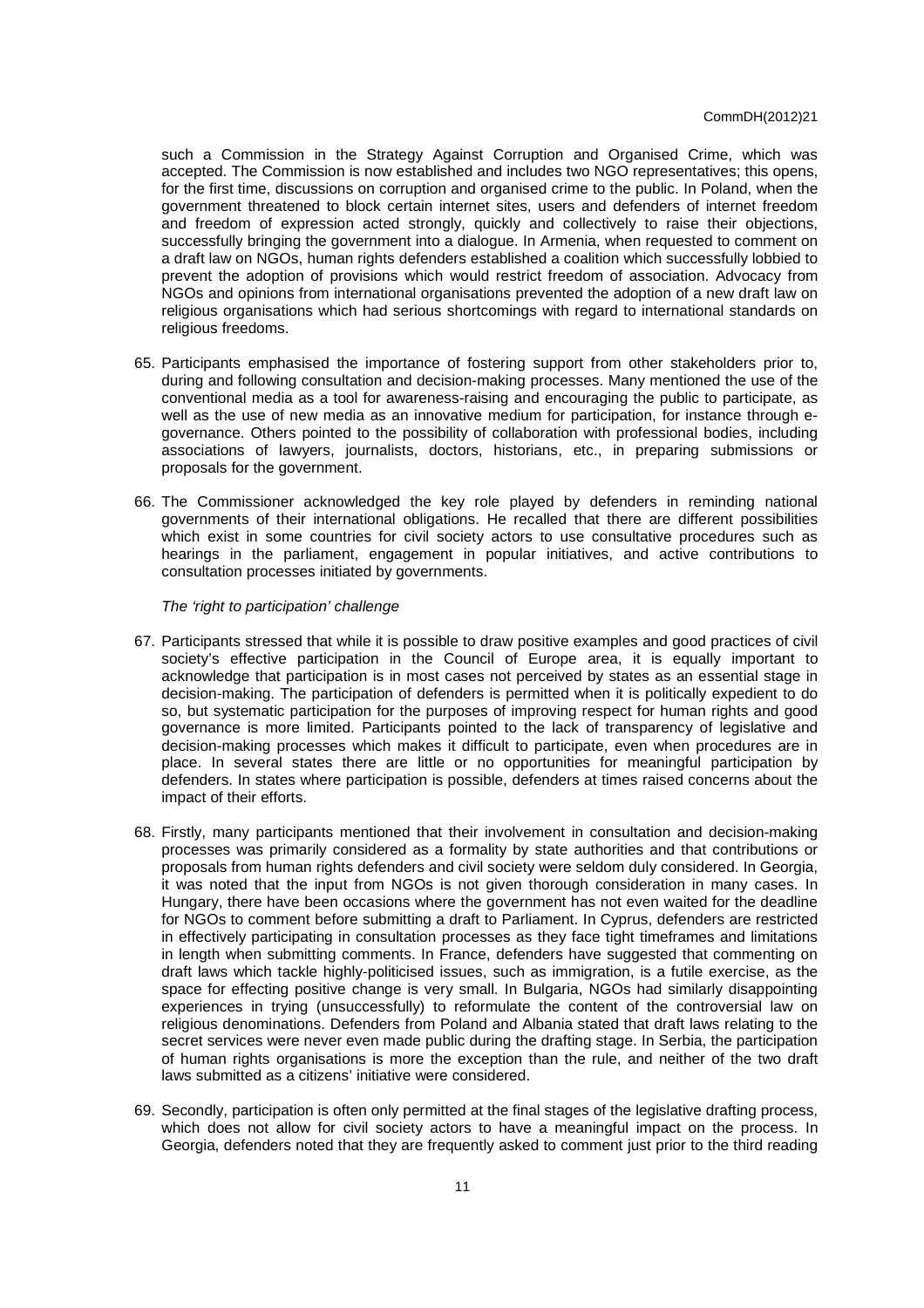such a Commission in the Strategy Against Corruption and Organised Crime, which was accepted. The Commission is now established and includes two NGO representatives; this opens, for the first time, discussions on corruption and organised crime to the public. In Poland, when the government threatened to block certain internet sites, users and defenders of internet freedom and freedom of expression acted strongly, quickly and collectively to raise their objections, successfully bringing the government into a dialogue. In Armenia, when requested to comment on a draft law on NGOs, human rights defenders established a coalition which successfully lobbied to prevent the adoption of provisions which would restrict freedom of association. Advocacy from NGOs and opinions from international organisations prevented the adoption of a new draft law on religious organisations which had serious shortcomings with regard to international standards on religious freedoms.

- 65. Participants emphasised the importance of fostering support from other stakeholders prior to, during and following consultation and decision-making processes. Many mentioned the use of the conventional media as a tool for awareness-raising and encouraging the public to participate, as well as the use of new media as an innovative medium for participation, for instance through egovernance. Others pointed to the possibility of collaboration with professional bodies, including associations of lawyers, journalists, doctors, historians, etc., in preparing submissions or proposals for the government.
- 66. The Commissioner acknowledged the key role played by defenders in reminding national governments of their international obligations. He recalled that there are different possibilities which exist in some countries for civil society actors to use consultative procedures such as hearings in the parliament, engagement in popular initiatives, and active contributions to consultation processes initiated by governments.

The 'right to participation' challenge

- 67. Participants stressed that while it is possible to draw positive examples and good practices of civil society's effective participation in the Council of Europe area, it is equally important to acknowledge that participation is in most cases not perceived by states as an essential stage in decision-making. The participation of defenders is permitted when it is politically expedient to do so, but systematic participation for the purposes of improving respect for human rights and good governance is more limited. Participants pointed to the lack of transparency of legislative and decision-making processes which makes it difficult to participate, even when procedures are in place. In several states there are little or no opportunities for meaningful participation by defenders. In states where participation is possible, defenders at times raised concerns about the impact of their efforts.
- 68. Firstly, many participants mentioned that their involvement in consultation and decision-making processes was primarily considered as a formality by state authorities and that contributions or proposals from human rights defenders and civil society were seldom duly considered. In Georgia, it was noted that the input from NGOs is not given thorough consideration in many cases. In Hungary, there have been occasions where the government has not even waited for the deadline for NGOs to comment before submitting a draft to Parliament. In Cyprus, defenders are restricted in effectively participating in consultation processes as they face tight timeframes and limitations in length when submitting comments. In France, defenders have suggested that commenting on draft laws which tackle highly-politicised issues, such as immigration, is a futile exercise, as the space for effecting positive change is very small. In Bulgaria, NGOs had similarly disappointing experiences in trying (unsuccessfully) to reformulate the content of the controversial law on religious denominations. Defenders from Poland and Albania stated that draft laws relating to the secret services were never even made public during the drafting stage. In Serbia, the participation of human rights organisations is more the exception than the rule, and neither of the two draft laws submitted as a citizens' initiative were considered.
- 69. Secondly, participation is often only permitted at the final stages of the legislative drafting process, which does not allow for civil society actors to have a meaningful impact on the process. In Georgia, defenders noted that they are frequently asked to comment just prior to the third reading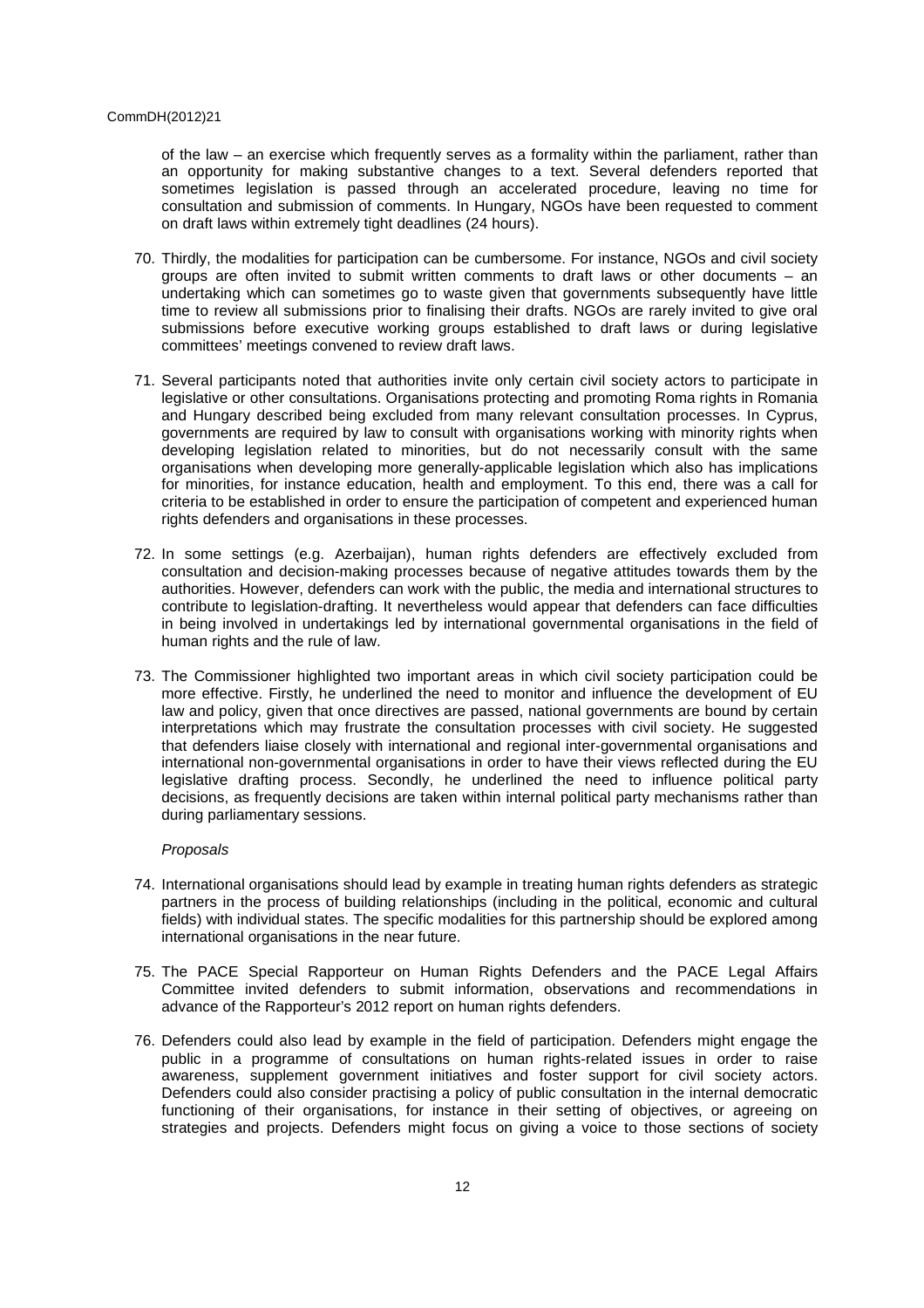of the law – an exercise which frequently serves as a formality within the parliament, rather than an opportunity for making substantive changes to a text. Several defenders reported that sometimes legislation is passed through an accelerated procedure, leaving no time for consultation and submission of comments. In Hungary, NGOs have been requested to comment on draft laws within extremely tight deadlines (24 hours).

- 70. Thirdly, the modalities for participation can be cumbersome. For instance, NGOs and civil society groups are often invited to submit written comments to draft laws or other documents – an undertaking which can sometimes go to waste given that governments subsequently have little time to review all submissions prior to finalising their drafts. NGOs are rarely invited to give oral submissions before executive working groups established to draft laws or during legislative committees' meetings convened to review draft laws.
- 71. Several participants noted that authorities invite only certain civil society actors to participate in legislative or other consultations. Organisations protecting and promoting Roma rights in Romania and Hungary described being excluded from many relevant consultation processes. In Cyprus, governments are required by law to consult with organisations working with minority rights when developing legislation related to minorities, but do not necessarily consult with the same organisations when developing more generally-applicable legislation which also has implications for minorities, for instance education, health and employment. To this end, there was a call for criteria to be established in order to ensure the participation of competent and experienced human rights defenders and organisations in these processes.
- 72. In some settings (e.g. Azerbaijan), human rights defenders are effectively excluded from consultation and decision-making processes because of negative attitudes towards them by the authorities. However, defenders can work with the public, the media and international structures to contribute to legislation-drafting. It nevertheless would appear that defenders can face difficulties in being involved in undertakings led by international governmental organisations in the field of human rights and the rule of law.
- 73. The Commissioner highlighted two important areas in which civil society participation could be more effective. Firstly, he underlined the need to monitor and influence the development of EU law and policy, given that once directives are passed, national governments are bound by certain interpretations which may frustrate the consultation processes with civil society. He suggested that defenders liaise closely with international and regional inter-governmental organisations and international non-governmental organisations in order to have their views reflected during the EU legislative drafting process. Secondly, he underlined the need to influence political party decisions, as frequently decisions are taken within internal political party mechanisms rather than during parliamentary sessions.

## Proposals

- 74. International organisations should lead by example in treating human rights defenders as strategic partners in the process of building relationships (including in the political, economic and cultural fields) with individual states. The specific modalities for this partnership should be explored among international organisations in the near future.
- 75. The PACE Special Rapporteur on Human Rights Defenders and the PACE Legal Affairs Committee invited defenders to submit information, observations and recommendations in advance of the Rapporteur's 2012 report on human rights defenders.
- 76. Defenders could also lead by example in the field of participation. Defenders might engage the public in a programme of consultations on human rights-related issues in order to raise awareness, supplement government initiatives and foster support for civil society actors. Defenders could also consider practising a policy of public consultation in the internal democratic functioning of their organisations, for instance in their setting of objectives, or agreeing on strategies and projects. Defenders might focus on giving a voice to those sections of society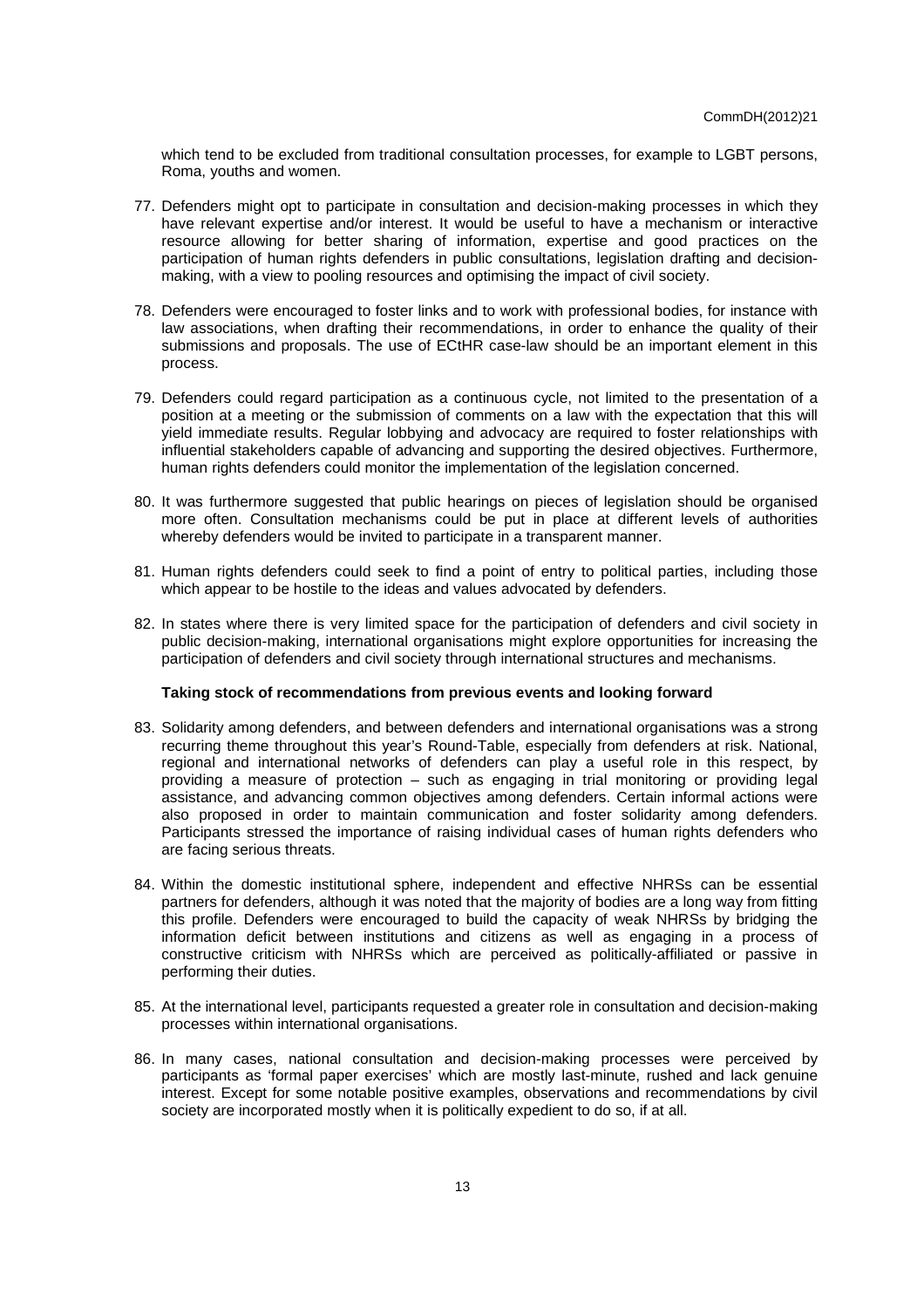which tend to be excluded from traditional consultation processes, for example to LGBT persons, Roma, youths and women.

- 77. Defenders might opt to participate in consultation and decision-making processes in which they have relevant expertise and/or interest. It would be useful to have a mechanism or interactive resource allowing for better sharing of information, expertise and good practices on the participation of human rights defenders in public consultations, legislation drafting and decisionmaking, with a view to pooling resources and optimising the impact of civil society.
- 78. Defenders were encouraged to foster links and to work with professional bodies, for instance with law associations, when drafting their recommendations, in order to enhance the quality of their submissions and proposals. The use of ECtHR case-law should be an important element in this process.
- 79. Defenders could regard participation as a continuous cycle, not limited to the presentation of a position at a meeting or the submission of comments on a law with the expectation that this will yield immediate results. Regular lobbying and advocacy are required to foster relationships with influential stakeholders capable of advancing and supporting the desired objectives. Furthermore, human rights defenders could monitor the implementation of the legislation concerned.
- 80. It was furthermore suggested that public hearings on pieces of legislation should be organised more often. Consultation mechanisms could be put in place at different levels of authorities whereby defenders would be invited to participate in a transparent manner.
- 81. Human rights defenders could seek to find a point of entry to political parties, including those which appear to be hostile to the ideas and values advocated by defenders.
- 82. In states where there is very limited space for the participation of defenders and civil society in public decision-making, international organisations might explore opportunities for increasing the participation of defenders and civil society through international structures and mechanisms.

## **Taking stock of recommendations from previous events and looking forward**

- 83. Solidarity among defenders, and between defenders and international organisations was a strong recurring theme throughout this year's Round-Table, especially from defenders at risk. National, regional and international networks of defenders can play a useful role in this respect, by providing a measure of protection – such as engaging in trial monitoring or providing legal assistance, and advancing common objectives among defenders. Certain informal actions were also proposed in order to maintain communication and foster solidarity among defenders. Participants stressed the importance of raising individual cases of human rights defenders who are facing serious threats.
- 84. Within the domestic institutional sphere, independent and effective NHRSs can be essential partners for defenders, although it was noted that the majority of bodies are a long way from fitting this profile. Defenders were encouraged to build the capacity of weak NHRSs by bridging the information deficit between institutions and citizens as well as engaging in a process of constructive criticism with NHRSs which are perceived as politically-affiliated or passive in performing their duties.
- 85. At the international level, participants requested a greater role in consultation and decision-making processes within international organisations.
- 86. In many cases, national consultation and decision-making processes were perceived by participants as 'formal paper exercises' which are mostly last-minute, rushed and lack genuine interest. Except for some notable positive examples, observations and recommendations by civil society are incorporated mostly when it is politically expedient to do so, if at all.